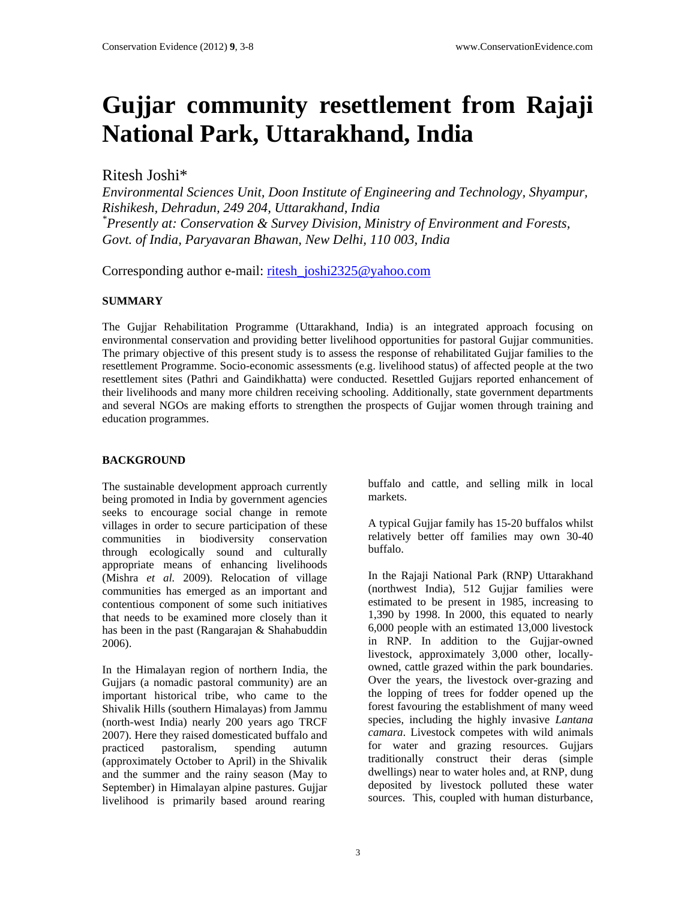# **Gujjar community resettlement from Rajaji National Park, Uttarakhand, India**

# Ritesh Joshi\*

*Environmental Sciences Unit, Doon Institute of Engineering and Technology, Shyampur, Rishikesh, Dehradun, 249 204, Uttarakhand, India \* Presently at: Conservation & Survey Division, Ministry of Environment and Forests, Govt. of India, Paryavaran Bhawan, New Delhi, 110 003, India* 

Corresponding author e-mail: [ritesh\\_joshi2325@yahoo.com](mailto:ritesh_joshi2325@yahoo.com) 

# **SUMMARY**

The Gujjar Rehabilitation Programme (Uttarakhand, India) is an integrated approach focusing on environmental conservation and providing better livelihood opportunities for pastoral Gujjar communities. The primary objective of this present study is to assess the response of rehabilitated Gujjar families to the resettlement Programme. Socio-economic assessments (e.g. livelihood status) of affected people at the two resettlement sites (Pathri and Gaindikhatta) were conducted. Resettled Gujjars reported enhancement of their livelihoods and many more children receiving schooling. Additionally, state government departments and several NGOs are making efforts to strengthen the prospects of Gujjar women through training and education programmes.

## **BACKGROUND**

The sustainable development approach currently being promoted in India by government agencies seeks to encourage social change in remote villages in order to secure participation of these communities in biodiversity conservation through ecologically sound and culturally appropriate means of enhancing livelihoods (Mishra *et al.* 2009). Relocation of village communities has emerged as an important and contentious component of some such initiatives that needs to be examined more closely than it has been in the past (Rangarajan & Shahabuddin 2006).

In the Himalayan region of northern India, the Gujjars (a nomadic pastoral community) are an important historical tribe, who came to the Shivalik Hills (southern Himalayas) from Jammu (north-west India) nearly 200 years ago TRCF 2007). Here they raised domesticated buffalo and practiced pastoralism, spending autumn (approximately October to April) in the Shivalik and the summer and the rainy season (May to September) in Himalayan alpine pastures. Gujjar livelihood is primarily based around rearing

buffalo and cattle, and selling milk in local markets.

A typical Gujjar family has 15-20 buffalos whilst relatively better off families may own 30-40 buffalo.

In the Rajaji National Park (RNP) Uttarakhand (northwest India), 512 Gujjar families were estimated to be present in 1985, increasing to 1,390 by 1998. In 2000, this equated to nearly 6,000 people with an estimated 13,000 livestock in RNP. In addition to the Gujjar-owned livestock, approximately 3,000 other, locallyowned, cattle grazed within the park boundaries. Over the years, the livestock over-grazing and the lopping of trees for fodder opened up the forest favouring the establishment of many weed species, including the highly invasive *Lantana camara*. Livestock competes with wild animals for water and grazing resources. Gujjars traditionally construct their deras (simple dwellings) near to water holes and, at RNP, dung deposited by livestock polluted these water sources. This, coupled with human disturbance,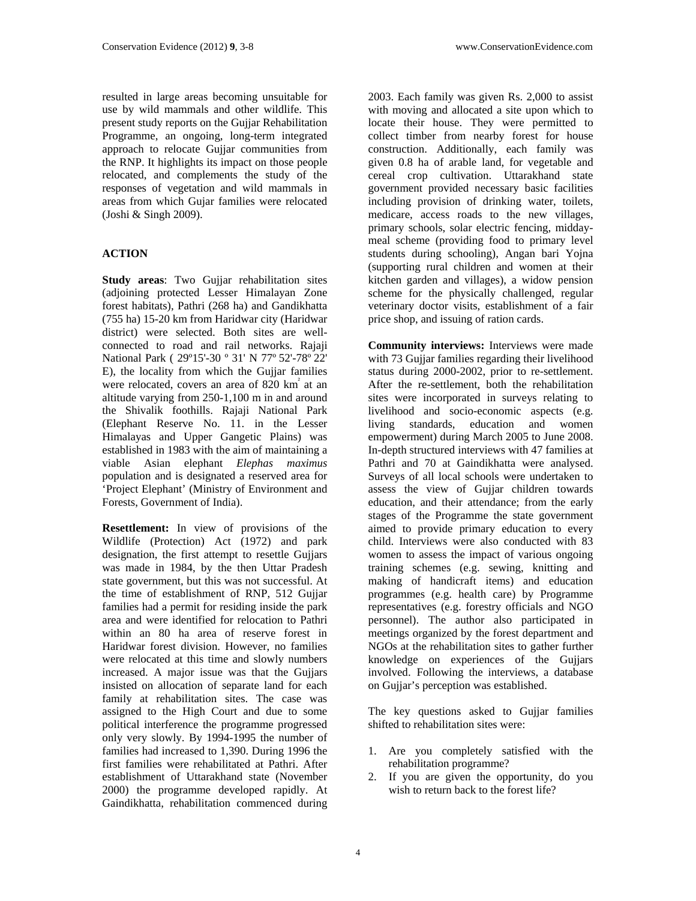resulted in large areas becoming unsuitable for use by wild mammals and other wildlife. This present study reports on the Gujjar Rehabilitation Programme, an ongoing, long-term integrated approach to relocate Gujjar communities from the RNP. It highlights its impact on those people relocated, and complements the study of the responses of vegetation and wild mammals in areas from which Gujar families were relocated (Joshi & Singh 2009).

#### **ACTION**

**Study areas**: Two Gujjar rehabilitation sites (adjoining protected Lesser Himalayan Zone forest habitats), Pathri (268 ha) and Gandikhatta (755 ha) 15-20 km from Haridwar city (Haridwar district) were selected. Both sites are wellconnected to road and rail networks. Rajaji National Park ( 29º15'-30 º 31' N 77º 52'-78º 22' E), the locality from which the Gujjar families were relocated, covers an area of 820 km<sup>2</sup> at an altitude varying from 250-1,100 m in and around the Shivalik foothills. Rajaji National Park (Elephant Reserve No. 11. in the Lesser Himalayas and Upper Gangetic Plains) was established in 1983 with the aim of maintaining a viable Asian elephant *Elephas maximus* population and is designated a reserved area for 'Project Elephant' (Ministry of Environment and Forests, Government of India).

**Resettlement:** In view of provisions of the Wildlife (Protection) Act (1972) and park designation, the first attempt to resettle Gujjars was made in 1984, by the then Uttar Pradesh state government, but this was not successful. At the time of establishment of RNP, 512 Gujjar families had a permit for residing inside the park area and were identified for relocation to Pathri within an 80 ha area of reserve forest in Haridwar forest division. However, no families were relocated at this time and slowly numbers increased. A major issue was that the Gujjars insisted on allocation of separate land for each family at rehabilitation sites. The case was assigned to the High Court and due to some political interference the programme progressed only very slowly. By 1994-1995 the number of families had increased to 1,390. During 1996 the first families were rehabilitated at Pathri. After establishment of Uttarakhand state (November 2000) the programme developed rapidly. At Gaindikhatta, rehabilitation commenced during

2003. Each family was given Rs. 2,000 to assist with moving and allocated a site upon which to locate their house. They were permitted to collect timber from nearby forest for house construction. Additionally, each family was given 0.8 ha of arable land, for vegetable and cereal crop cultivation. Uttarakhand state government provided necessary basic facilities including provision of drinking water, toilets, medicare, access roads to the new villages, primary schools, solar electric fencing, middaymeal scheme (providing food to primary level students during schooling), Angan bari Yojna (supporting rural children and women at their kitchen garden and villages), a widow pension scheme for the physically challenged, regular veterinary doctor visits, establishment of a fair price shop, and issuing of ration cards.

**Community interviews:** Interviews were made with 73 Gujjar families regarding their livelihood status during 2000-2002, prior to re-settlement. After the re-settlement, both the rehabilitation sites were incorporated in surveys relating to livelihood and socio-economic aspects (e.g. living standards, education and women empowerment) during March 2005 to June 2008. In-depth structured interviews with 47 families at Pathri and 70 at Gaindikhatta were analysed. Surveys of all local schools were undertaken to assess the view of Gujjar children towards education, and their attendance; from the early stages of the Programme the state government aimed to provide primary education to every child. Interviews were also conducted with 83 women to assess the impact of various ongoing training schemes (e.g. sewing, knitting and making of handicraft items) and education programmes (e.g. health care) by Programme representatives (e.g. forestry officials and NGO personnel). The author also participated in meetings organized by the forest department and NGOs at the rehabilitation sites to gather further knowledge on experiences of the Gujjars involved. Following the interviews, a database on Gujjar's perception was established.

The key questions asked to Gujjar families shifted to rehabilitation sites were:

- 1. Are you completely satisfied with the rehabilitation programme?
- 2. If you are given the opportunity, do you wish to return back to the forest life?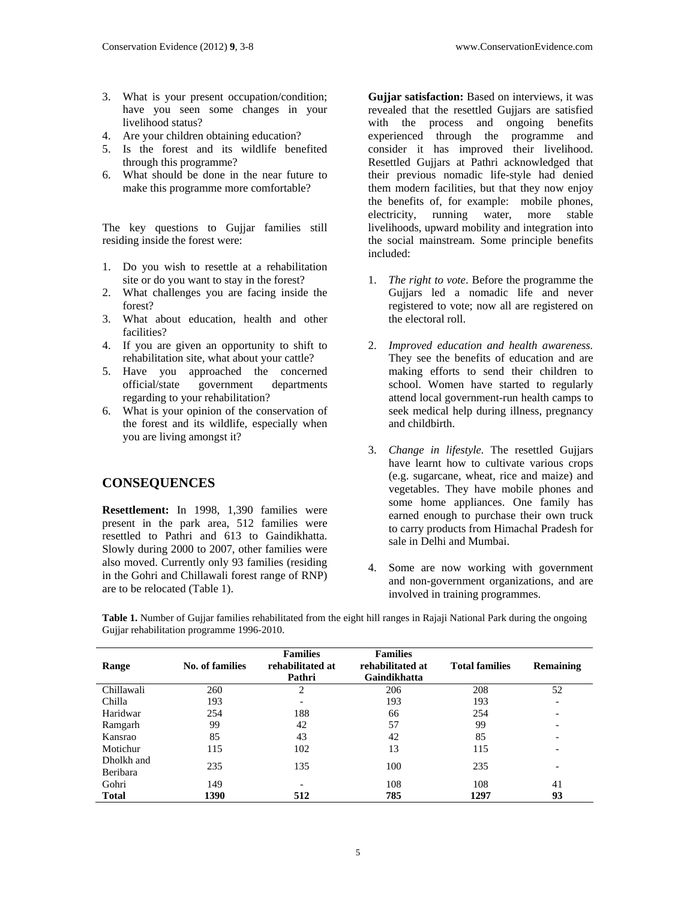- 3. What is your present occupation/condition; have you seen some changes in your livelihood status?
- 4. Are your children obtaining education?
- 5. Is the forest and its wildlife benefited through this programme?
- 6. What should be done in the near future to make this programme more comfortable?

The key questions to Gujjar families still residing inside the forest were:

- 1. Do you wish to resettle at a rehabilitation site or do you want to stay in the forest?
- 2. What challenges you are facing inside the forest?
- 3. What about education, health and other facilities?
- 4. If you are given an opportunity to shift to rehabilitation site, what about your cattle?
- 5. Have you approached the concerned official/state government departments regarding to your rehabilitation?
- 6. What is your opinion of the conservation of the forest and its wildlife, especially when you are living amongst it?

## **CONSEQUENCES**

**Resettlement:** In 1998, 1,390 families were present in the park area, 512 families were resettled to Pathri and 613 to Gaindikhatta. Slowly during 2000 to 2007, other families were also moved. Currently only 93 families (residing in the Gohri and Chillawali forest range of RNP) are to be relocated (Table 1).

**Gujjar satisfaction:** Based on interviews, it was revealed that the resettled Gujjars are satisfied with the process and ongoing benefits experienced through the programme and consider it has improved their livelihood. Resettled Gujjars at Pathri acknowledged that their previous nomadic life-style had denied them modern facilities, but that they now enjoy the benefits of, for example: mobile phones, electricity, running water, more stable livelihoods, upward mobility and integration into the social mainstream. Some principle benefits included:

- 1. *The right to vote*. Before the programme the Gujjars led a nomadic life and never registered to vote; now all are registered on the electoral roll.
- 2. *Improved education and health awareness.* They see the benefits of education and are making efforts to send their children to school. Women have started to regularly attend local government-run health camps to seek medical help during illness, pregnancy and childbirth.
- 3. *Change in lifestyle.* The resettled Gujjars have learnt how to cultivate various crops (e.g. sugarcane, wheat, rice and maize) and vegetables. They have mobile phones and some home appliances. One family has earned enough to purchase their own truck to carry products from Himachal Pradesh for sale in Delhi and Mumbai.
- 4. Some are now working with government and non-government organizations, and are involved in training programmes.

| Range                  | No. of families | <b>Families</b><br>rehabilitated at<br>Pathri | <b>Families</b><br>rehabilitated at<br>Gaindikhatta | <b>Total families</b> | <b>Remaining</b>         |
|------------------------|-----------------|-----------------------------------------------|-----------------------------------------------------|-----------------------|--------------------------|
| Chillawali             | 260             | 2                                             | 206                                                 | 208                   | 52                       |
| Chilla                 | 193             |                                               | 193                                                 | 193                   | $\overline{\phantom{a}}$ |
| Haridwar               | 254             | 188                                           | 66                                                  | 254                   | $\overline{\phantom{a}}$ |
| Ramgarh                | 99              | 42                                            | 57                                                  | 99                    | $\overline{\phantom{a}}$ |
| Kansrao                | 85              | 43                                            | 42                                                  | 85                    | $\overline{\phantom{0}}$ |
| Motichur               | 115             | 102                                           | 13                                                  | 115                   | $\overline{\phantom{0}}$ |
| Dholkh and<br>Beribara | 235             | 135                                           | 100                                                 | 235                   | $\overline{\phantom{0}}$ |
| Gohri                  | 149             |                                               | 108                                                 | 108                   | 41                       |
| <b>Total</b>           | 1390            | 512                                           | 785                                                 | 1297                  | 93                       |

**Table 1.** Number of Gujjar families rehabilitated from the eight hill ranges in Rajaji National Park during the ongoing Gujjar rehabilitation programme 1996-2010.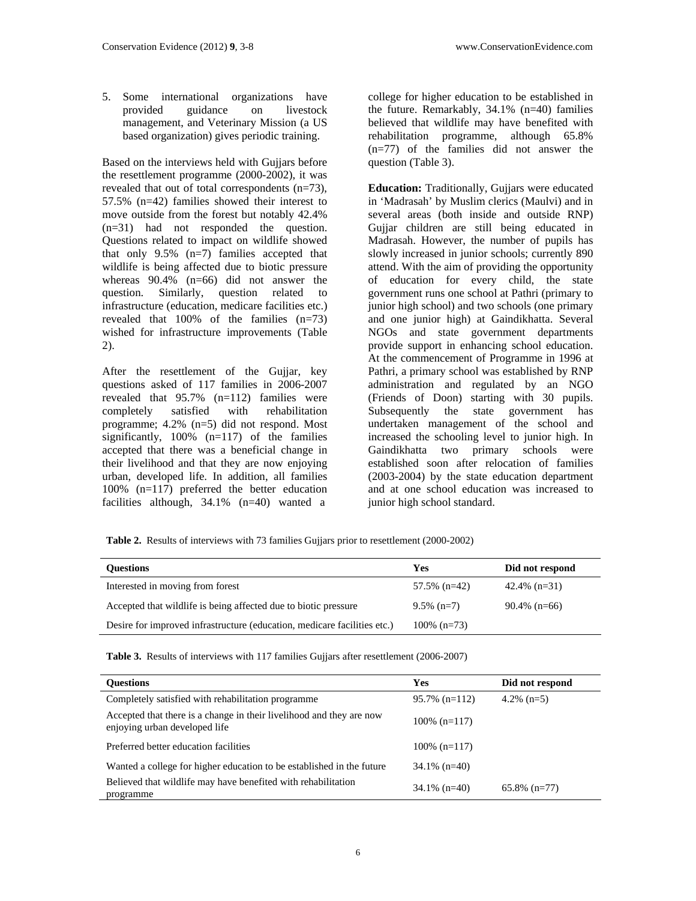5. Some international organizations have provided guidance on livestock management, and Veterinary Mission (a US based organization) gives periodic training.

Based on the interviews held with Gujjars before the resettlement programme (2000-2002), it was revealed that out of total correspondents (n=73), 57.5% (n=42) families showed their interest to move outside from the forest but notably 42.4% (n=31) had not responded the question. Questions related to impact on wildlife showed that only 9.5% (n=7) families accepted that wildlife is being affected due to biotic pressure whereas 90.4% (n=66) did not answer the question. Similarly, question related to infrastructure (education, medicare facilities etc.) revealed that 100% of the families (n=73) wished for infrastructure improvements (Table 2).

After the resettlement of the Gujjar, key questions asked of 117 families in 2006-2007 revealed that 95.7% (n=112) families were completely satisfied with rehabilitation programme; 4.2% (n=5) did not respond. Most significantly, 100% (n=117) of the families accepted that there was a beneficial change in their livelihood and that they are now enjoying urban, developed life. In addition, all families 100% (n=117) preferred the better education facilities although, 34.1% (n=40) wanted a

college for higher education to be established in the future. Remarkably, 34.1% (n=40) families believed that wildlife may have benefited with rehabilitation programme, although 65.8% (n=77) of the families did not answer the question (Table 3).

**Education:** Traditionally, Gujjars were educated in 'Madrasah' by Muslim clerics (Maulvi) and in several areas (both inside and outside RNP) Gujjar children are still being educated in Madrasah. However, the number of pupils has slowly increased in junior schools; currently 890 attend. With the aim of providing the opportunity of education for every child, the state government runs one school at Pathri (primary to junior high school) and two schools (one primary and one junior high) at Gaindikhatta. Several NGOs and state government departments provide support in enhancing school education. At the commencement of Programme in 1996 at Pathri, a primary school was established by RNP administration and regulated by an NGO (Friends of Doon) starting with 30 pupils. Subsequently the state government has undertaken management of the school and increased the schooling level to junior high. In Gaindikhatta two primary schools were established soon after relocation of families (2003-2004) by the state education department and at one school education was increased to junior high school standard.

**Table 2.** Results of interviews with 73 families Gujjars prior to resettlement (2000-2002)

| <b>Ouestions</b>                                                         | Yes            | Did not respond |
|--------------------------------------------------------------------------|----------------|-----------------|
| Interested in moving from forest                                         | 57.5% $(n=42)$ | $42.4\%$ (n=31) |
| Accepted that wildlife is being affected due to biotic pressure          | $9.5\%$ (n=7)  | $90.4\%$ (n=66) |
| Desire for improved infrastructure (education, medicare facilities etc.) | $100\%$ (n=73) |                 |

**Table 3.** Results of interviews with 117 families Gujjars after resettlement (2006-2007)

| <b>Ouestions</b>                                                                                      | Yes              | Did not respond |
|-------------------------------------------------------------------------------------------------------|------------------|-----------------|
| Completely satisfied with rehabilitation programme                                                    | $95.7\%$ (n=112) | $4.2\%$ (n=5)   |
| Accepted that there is a change in their livelihood and they are now<br>enjoying urban developed life | $100\%$ (n=117)  |                 |
| Preferred better education facilities                                                                 | $100\%$ (n=117)  |                 |
| Wanted a college for higher education to be established in the future                                 | $34.1\%$ (n=40)  |                 |
| Believed that wildlife may have benefited with rehabilitation<br>programme                            | $34.1\%$ (n=40)  | $65.8\%$ (n=77) |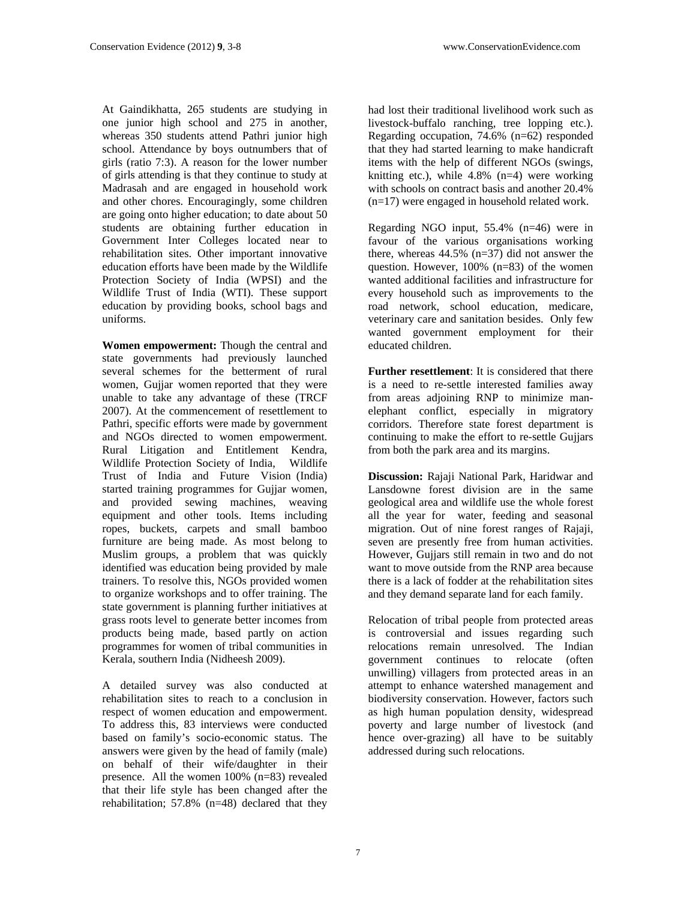At Gaindikhatta, 265 students are studying in one junior high school and 275 in another, whereas 350 students attend Pathri junior high school. Attendance by boys outnumbers that of girls (ratio 7:3). A reason for the lower number of girls attending is that they continue to study at Madrasah and are engaged in household work and other chores. Encouragingly, some children are going onto higher education; to date about 50 students are obtaining further education in Government Inter Colleges located near to rehabilitation sites. Other important innovative education efforts have been made by the Wildlife Protection Society of India (WPSI) and the Wildlife Trust of India (WTI). These support education by providing books, school bags and uniforms.

**Women empowerment:** Though the central and state governments had previously launched several schemes for the betterment of rural women, Gujjar women reported that they were unable to take any advantage of these (TRCF 2007). At the commencement of resettlement to Pathri, specific efforts were made by government and NGOs directed to women empowerment. Rural Litigation and Entitlement Kendra, Wildlife Protection Society of India, Wildlife Trust of India and Future Vision (India) started training programmes for Gujjar women, and provided sewing machines, weaving equipment and other tools. Items including ropes, buckets, carpets and small bamboo furniture are being made. As most belong to Muslim groups, a problem that was quickly identified was education being provided by male trainers. To resolve this, NGOs provided women to organize workshops and to offer training. The state government is planning further initiatives at grass roots level to generate better incomes from products being made, based partly on action programmes for women of tribal communities in Kerala, southern India (Nidheesh 2009).

A detailed survey was also conducted at rehabilitation sites to reach to a conclusion in respect of women education and empowerment. To address this, 83 interviews were conducted based on family's socio-economic status. The answers were given by the head of family (male) on behalf of their wife/daughter in their presence. All the women 100% (n=83) revealed that their life style has been changed after the rehabilitation; 57.8% (n=48) declared that they

had lost their traditional livelihood work such as livestock-buffalo ranching, tree lopping etc.). Regarding occupation, 74.6% (n=62) responded that they had started learning to make handicraft items with the help of different NGOs (swings, knitting etc.), while 4.8% (n=4) were working with schools on contract basis and another 20.4% (n=17) were engaged in household related work.

Regarding NGO input, 55.4% (n=46) were in favour of the various organisations working there, whereas 44.5% (n=37) did not answer the question. However, 100% (n=83) of the women wanted additional facilities and infrastructure for every household such as improvements to the road network, school education, medicare, veterinary care and sanitation besides. Only few wanted government employment for their educated children.

**Further resettlement**: It is considered that there is a need to re-settle interested families away from areas adjoining RNP to minimize manelephant conflict, especially in migratory corridors. Therefore state forest department is continuing to make the effort to re-settle Gujjars from both the park area and its margins.

**Discussion:** Rajaji National Park, Haridwar and Lansdowne forest division are in the same geological area and wildlife use the whole forest all the year for water, feeding and seasonal migration. Out of nine forest ranges of Rajaji, seven are presently free from human activities. However, Gujjars still remain in two and do not want to move outside from the RNP area because there is a lack of fodder at the rehabilitation sites and they demand separate land for each family.

Relocation of tribal people from protected areas is controversial and issues regarding such relocations remain unresolved. The Indian government continues to relocate (often unwilling) villagers from protected areas in an attempt to enhance watershed management and biodiversity conservation. However, factors such as high human population density, widespread poverty and large number of livestock (and hence over-grazing) all have to be suitably addressed during such relocations.